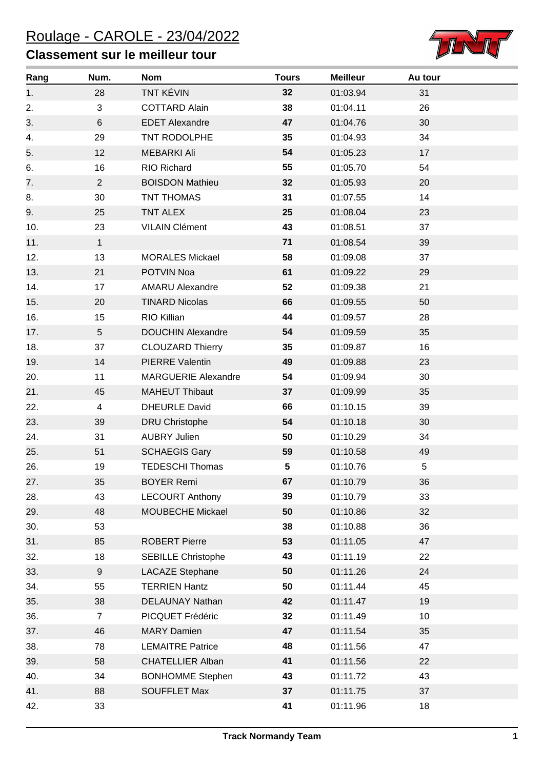## **Classement sur le meilleur tour**



| Rang | Num.           | <b>Nom</b>                 | <b>Tours</b> | <b>Meilleur</b> | Au tour |
|------|----------------|----------------------------|--------------|-----------------|---------|
| 1.   | 28             | <b>TNT KÉVIN</b>           | 32           | 01:03.94        | 31      |
| 2.   | 3              | <b>COTTARD Alain</b>       | 38           | 01:04.11        | 26      |
| 3.   | 6              | <b>EDET Alexandre</b>      | 47           | 01:04.76        | 30      |
| 4.   | 29             | TNT RODOLPHE               | 35           | 01:04.93        | 34      |
| 5.   | 12             | <b>MEBARKI Ali</b>         | 54           | 01:05.23        | 17      |
| 6.   | 16             | RIO Richard                | 55           | 01:05.70        | 54      |
| 7.   | $\overline{2}$ | <b>BOISDON Mathieu</b>     | 32           | 01:05.93        | 20      |
| 8.   | 30             | TNT THOMAS                 | 31           | 01:07.55        | 14      |
| 9.   | 25             | TNT ALEX                   | 25           | 01:08.04        | 23      |
| 10.  | 23             | <b>VILAIN Clément</b>      | 43           | 01:08.51        | 37      |
| 11.  | $\mathbf{1}$   |                            | 71           | 01:08.54        | 39      |
| 12.  | 13             | <b>MORALES Mickael</b>     | 58           | 01:09.08        | 37      |
| 13.  | 21             | POTVIN Noa                 | 61           | 01:09.22        | 29      |
| 14.  | 17             | <b>AMARU Alexandre</b>     | 52           | 01:09.38        | 21      |
| 15.  | 20             | <b>TINARD Nicolas</b>      | 66           | 01:09.55        | 50      |
| 16.  | 15             | RIO Killian                | 44           | 01:09.57        | 28      |
| 17.  | 5              | <b>DOUCHIN Alexandre</b>   | 54           | 01:09.59        | 35      |
| 18.  | 37             | <b>CLOUZARD Thierry</b>    | 35           | 01:09.87        | 16      |
| 19.  | 14             | <b>PIERRE Valentin</b>     | 49           | 01:09.88        | 23      |
| 20.  | 11             | <b>MARGUERIE Alexandre</b> | 54           | 01:09.94        | 30      |
| 21.  | 45             | <b>MAHEUT Thibaut</b>      | 37           | 01:09.99        | 35      |
| 22.  | $\overline{4}$ | <b>DHEURLE David</b>       | 66           | 01:10.15        | 39      |
| 23.  | 39             | <b>DRU Christophe</b>      | 54           | 01:10.18        | 30      |
| 24.  | 31             | <b>AUBRY Julien</b>        | 50           | 01:10.29        | 34      |
| 25.  | 51             | <b>SCHAEGIS Gary</b>       | 59           | 01:10.58        | 49      |
| 26.  | 19             | <b>TEDESCHI Thomas</b>     | 5            | 01:10.76        | 5       |
| 27.  | 35             | <b>BOYER Remi</b>          | 67           | 01:10.79        | 36      |
| 28.  | 43             | <b>LECOURT Anthony</b>     | 39           | 01:10.79        | 33      |
| 29.  | 48             | MOUBECHE Mickael           | 50           | 01:10.86        | 32      |
| 30.  | 53             |                            | 38           | 01:10.88        | 36      |
| 31.  | 85             | <b>ROBERT Pierre</b>       | 53           | 01:11.05        | 47      |
| 32.  | 18             | <b>SEBILLE Christophe</b>  | 43           | 01:11.19        | 22      |
| 33.  | 9              | <b>LACAZE Stephane</b>     | 50           | 01:11.26        | 24      |
| 34.  | 55             | <b>TERRIEN Hantz</b>       | 50           | 01:11.44        | 45      |
| 35.  | 38             | DELAUNAY Nathan            | 42           | 01:11.47        | 19      |
| 36.  | $\overline{7}$ | PICQUET Frédéric           | 32           | 01:11.49        | 10      |
| 37.  | 46             | <b>MARY Damien</b>         | 47           | 01:11.54        | 35      |
| 38.  | 78             | <b>LEMAITRE Patrice</b>    | 48           | 01:11.56        | 47      |
| 39.  | 58             | <b>CHATELLIER Alban</b>    | 41           | 01:11.56        | 22      |
| 40.  | 34             | <b>BONHOMME Stephen</b>    | 43           | 01:11.72        | 43      |
| 41.  | 88             | <b>SOUFFLET Max</b>        | 37           | 01:11.75        | 37      |
| 42.  | 33             |                            | 41           | 01:11.96        | 18      |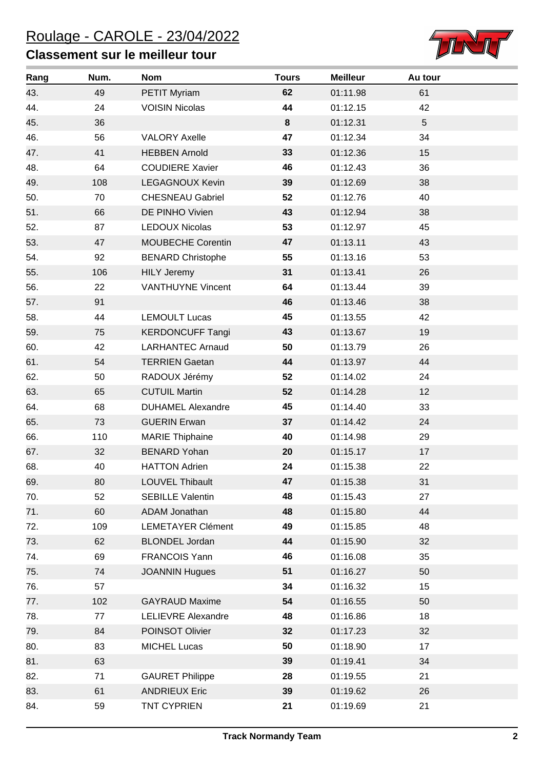## **Classement sur le meilleur tour**



| Rang | Num. | <b>Nom</b>                | <b>Tours</b> | <b>Meilleur</b> | Au tour |
|------|------|---------------------------|--------------|-----------------|---------|
| 43.  | 49   | PETIT Myriam              | 62           | 01:11.98        | 61      |
| 44.  | 24   | <b>VOISIN Nicolas</b>     | 44           | 01:12.15        | 42      |
| 45.  | 36   |                           | 8            | 01:12.31        | 5       |
| 46.  | 56   | <b>VALORY Axelle</b>      | 47           | 01:12.34        | 34      |
| 47.  | 41   | <b>HEBBEN Arnold</b>      | 33           | 01:12.36        | 15      |
| 48.  | 64   | <b>COUDIERE Xavier</b>    | 46           | 01:12.43        | 36      |
| 49.  | 108  | <b>LEGAGNOUX Kevin</b>    | 39           | 01:12.69        | 38      |
| 50.  | 70   | <b>CHESNEAU Gabriel</b>   | 52           | 01:12.76        | 40      |
| 51.  | 66   | DE PINHO Vivien           | 43           | 01:12.94        | 38      |
| 52.  | 87   | <b>LEDOUX Nicolas</b>     | 53           | 01:12.97        | 45      |
| 53.  | 47   | <b>MOUBECHE Corentin</b>  | 47           | 01:13.11        | 43      |
| 54.  | 92   | <b>BENARD Christophe</b>  | 55           | 01:13.16        | 53      |
| 55.  | 106  | <b>HILY Jeremy</b>        | 31           | 01:13.41        | 26      |
| 56.  | 22   | <b>VANTHUYNE Vincent</b>  | 64           | 01:13.44        | 39      |
| 57.  | 91   |                           | 46           | 01:13.46        | 38      |
| 58.  | 44   | <b>LEMOULT Lucas</b>      | 45           | 01:13.55        | 42      |
| 59.  | 75   | <b>KERDONCUFF Tangi</b>   | 43           | 01:13.67        | 19      |
| 60.  | 42   | <b>LARHANTEC Arnaud</b>   | 50           | 01:13.79        | 26      |
| 61.  | 54   | <b>TERRIEN Gaetan</b>     | 44           | 01:13.97        | 44      |
| 62.  | 50   | RADOUX Jérémy             | 52           | 01:14.02        | 24      |
| 63.  | 65   | <b>CUTUIL Martin</b>      | 52           | 01:14.28        | 12      |
| 64.  | 68   | <b>DUHAMEL Alexandre</b>  | 45           | 01:14.40        | 33      |
| 65.  | 73   | <b>GUERIN Erwan</b>       | 37           | 01:14.42        | 24      |
| 66.  | 110  | <b>MARIE Thiphaine</b>    | 40           | 01:14.98        | 29      |
| 67.  | 32   | <b>BENARD Yohan</b>       | 20           | 01:15.17        | 17      |
| 68.  | 40   | <b>HATTON Adrien</b>      | 24           | 01:15.38        | 22      |
| 69.  | 80   | LOUVEL Thibault           | 47           | 01:15.38        | 31      |
| 70.  | 52   | <b>SEBILLE Valentin</b>   | 48           | 01:15.43        | 27      |
| 71.  | 60   | ADAM Jonathan             | 48           | 01:15.80        | 44      |
| 72.  | 109  | <b>LEMETAYER Clément</b>  | 49           | 01:15.85        | 48      |
| 73.  | 62   | <b>BLONDEL Jordan</b>     | 44           | 01:15.90        | 32      |
| 74.  | 69   | FRANCOIS Yann             | 46           | 01:16.08        | 35      |
| 75.  | 74   | <b>JOANNIN Hugues</b>     | 51           | 01:16.27        | 50      |
| 76.  | 57   |                           | 34           | 01:16.32        | 15      |
| 77.  | 102  | <b>GAYRAUD Maxime</b>     | 54           | 01:16.55        | 50      |
| 78.  | 77   | <b>LELIEVRE Alexandre</b> | 48           | 01:16.86        | 18      |
| 79.  | 84   | POINSOT Olivier           | 32           | 01:17.23        | 32      |
| 80.  | 83   | <b>MICHEL Lucas</b>       | 50           | 01:18.90        | 17      |
| 81.  | 63   |                           | 39           | 01:19.41        | 34      |
| 82.  | 71   | <b>GAURET Philippe</b>    | 28           | 01:19.55        | 21      |
| 83.  | 61   | <b>ANDRIEUX Eric</b>      | 39           | 01:19.62        | 26      |
| 84.  | 59   | <b>TNT CYPRIEN</b>        | 21           | 01:19.69        | 21      |